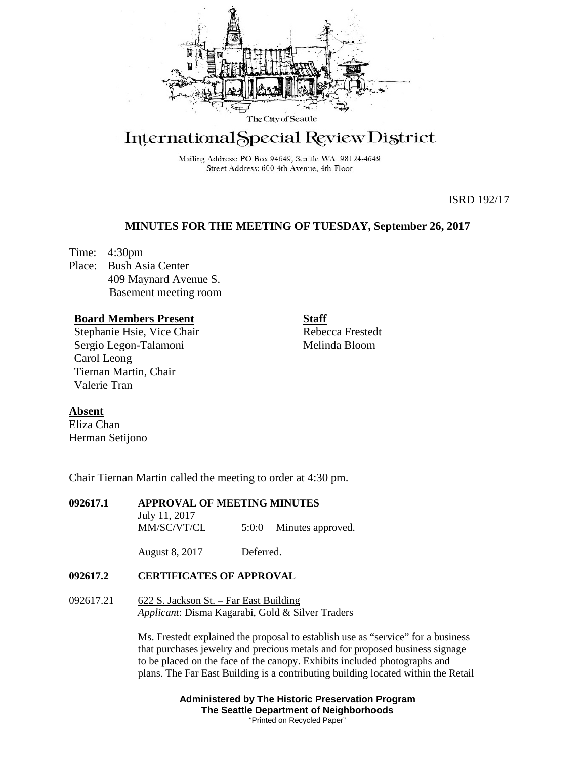

# International Special Review District

Mailing Address: PO Box 94649, Seattle WA 98124-4649 Street Address: 600 4th Avenue, 4th Floor

ISRD 192/17

# **MINUTES FOR THE MEETING OF TUESDAY, September 26, 2017**

Time: 4:30pm Place: Bush Asia Center 409 Maynard Avenue S. Basement meeting room

# **Board Members Present**

Stephanie Hsie, Vice Chair Sergio Legon-Talamoni Carol Leong Tiernan Martin, Chair Valerie Tran

**Staff**

Rebecca Frestedt Melinda Bloom

## **Absent**

Eliza Chan Herman Setijono

Chair Tiernan Martin called the meeting to order at 4:30 pm.

# **092617.1 APPROVAL OF MEETING MINUTES**

July 11, 2017 MM/SC/VT/CL 5:0:0 Minutes approved.

August 8, 2017 Deferred.

## **092617.2 CERTIFICATES OF APPROVAL**

092617.21 622 S. Jackson St. – Far East Building *Applicant*: Disma Kagarabi, Gold & Silver Traders

> Ms. Frestedt explained the proposal to establish use as "service" for a business that purchases jewelry and precious metals and for proposed business signage to be placed on the face of the canopy. Exhibits included photographs and plans. The Far East Building is a contributing building located within the Retail

> > **Administered by The Historic Preservation Program The Seattle Department of Neighborhoods** "Printed on Recycled Paper"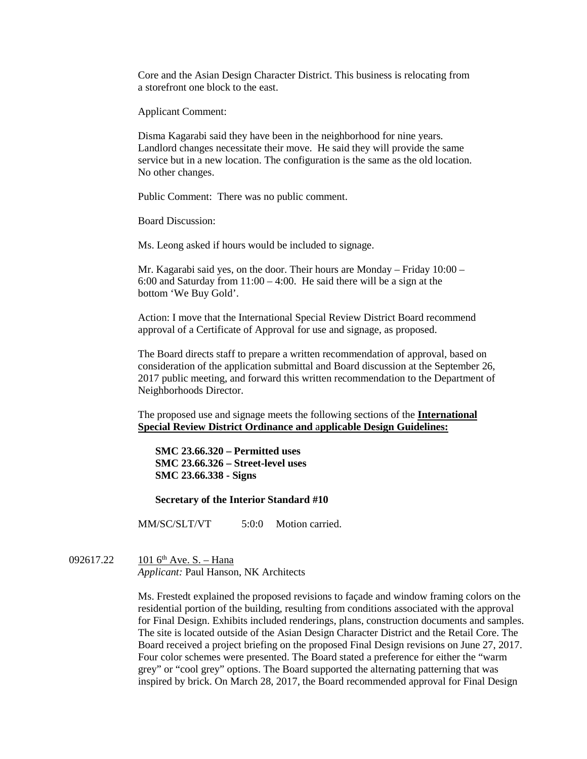Core and the Asian Design Character District. This business is relocating from a storefront one block to the east.

Applicant Comment:

Disma Kagarabi said they have been in the neighborhood for nine years. Landlord changes necessitate their move. He said they will provide the same service but in a new location. The configuration is the same as the old location. No other changes.

Public Comment: There was no public comment.

Board Discussion:

Ms. Leong asked if hours would be included to signage.

Mr. Kagarabi said yes, on the door. Their hours are Monday – Friday 10:00 – 6:00 and Saturday from  $11:00 - 4:00$ . He said there will be a sign at the bottom 'We Buy Gold'.

Action: I move that the International Special Review District Board recommend approval of a Certificate of Approval for use and signage, as proposed.

The Board directs staff to prepare a written recommendation of approval, based on consideration of the application submittal and Board discussion at the September 26, 2017 public meeting, and forward this written recommendation to the Department of Neighborhoods Director.

The proposed use and signage meets the following sections of the **International Special Review District Ordinance and** a**pplicable Design Guidelines:**

**SMC 23.66.320 – Permitted uses SMC 23.66.326 – Street-level uses SMC 23.66.338 - Signs**

**Secretary of the Interior Standard #10**

MM/SC/SLT/VT 5:0:0 Motion carried.

092617.22 101 6<sup>th</sup> Ave. S. – Hana *Applicant:* Paul Hanson, NK Architects

> Ms. Frestedt explained the proposed revisions to façade and window framing colors on the residential portion of the building, resulting from conditions associated with the approval for Final Design. Exhibits included renderings, plans, construction documents and samples. The site is located outside of the Asian Design Character District and the Retail Core. The Board received a project briefing on the proposed Final Design revisions on June 27, 2017. Four color schemes were presented. The Board stated a preference for either the "warm grey" or "cool grey" options. The Board supported the alternating patterning that was inspired by brick. On March 28, 2017, the Board recommended approval for Final Design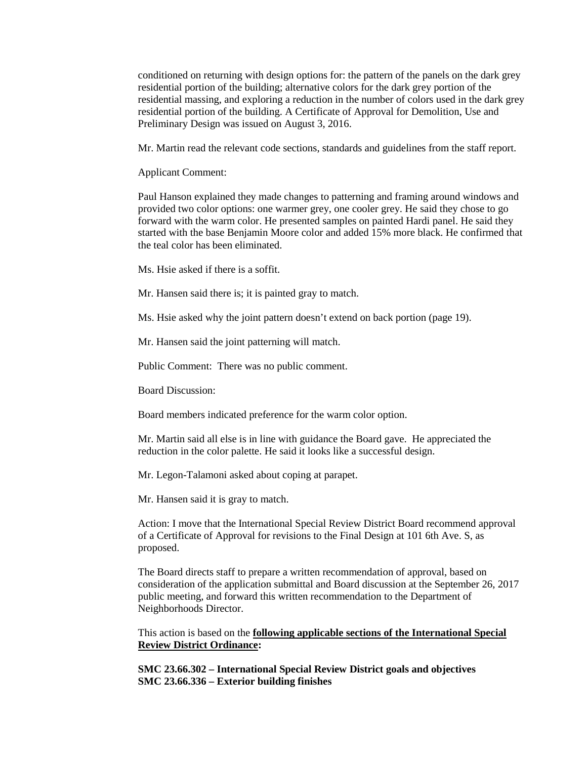conditioned on returning with design options for: the pattern of the panels on the dark grey residential portion of the building; alternative colors for the dark grey portion of the residential massing, and exploring a reduction in the number of colors used in the dark grey residential portion of the building. A Certificate of Approval for Demolition, Use and Preliminary Design was issued on August 3, 2016.

Mr. Martin read the relevant code sections, standards and guidelines from the staff report.

Applicant Comment:

Paul Hanson explained they made changes to patterning and framing around windows and provided two color options: one warmer grey, one cooler grey. He said they chose to go forward with the warm color. He presented samples on painted Hardi panel. He said they started with the base Benjamin Moore color and added 15% more black. He confirmed that the teal color has been eliminated.

Ms. Hsie asked if there is a soffit.

Mr. Hansen said there is; it is painted gray to match.

Ms. Hsie asked why the joint pattern doesn't extend on back portion (page 19).

Mr. Hansen said the joint patterning will match.

Public Comment: There was no public comment.

Board Discussion:

Board members indicated preference for the warm color option.

Mr. Martin said all else is in line with guidance the Board gave. He appreciated the reduction in the color palette. He said it looks like a successful design.

Mr. Legon-Talamoni asked about coping at parapet.

Mr. Hansen said it is gray to match.

Action: I move that the International Special Review District Board recommend approval of a Certificate of Approval for revisions to the Final Design at 101 6th Ave. S, as proposed.

The Board directs staff to prepare a written recommendation of approval, based on consideration of the application submittal and Board discussion at the September 26, 2017 public meeting, and forward this written recommendation to the Department of Neighborhoods Director.

This action is based on the **following applicable sections of the International Special Review District Ordinance:** 

**SMC 23.66.302 – International Special Review District goals and objectives SMC 23.66.336 – Exterior building finishes**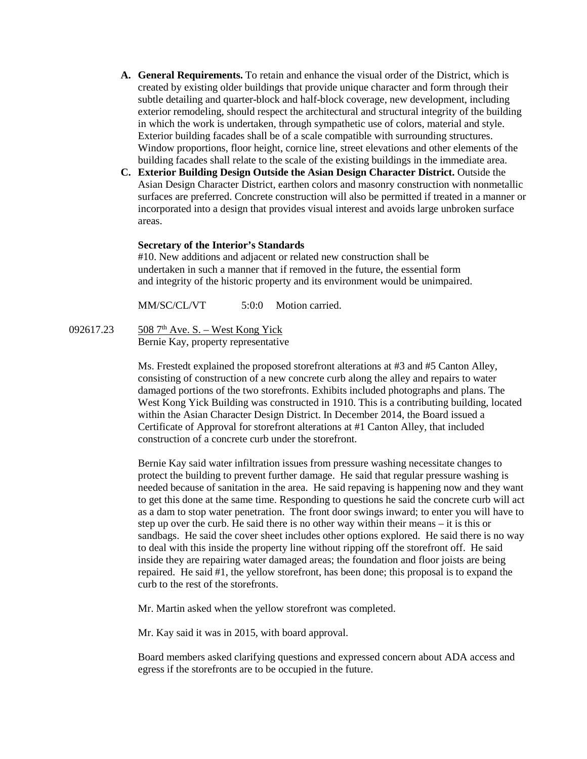- **A. General Requirements.** To retain and enhance the visual order of the District, which is created by existing older buildings that provide unique character and form through their subtle detailing and quarter-block and half-block coverage, new development, including exterior remodeling, should respect the architectural and structural integrity of the building in which the work is undertaken, through sympathetic use of colors, material and style. Exterior building facades shall be of a scale compatible with surrounding structures. Window proportions, floor height, cornice line, street elevations and other elements of the building facades shall relate to the scale of the existing buildings in the immediate area.
- **C. Exterior Building Design Outside the Asian Design Character District.** Outside the Asian Design Character District, earthen colors and masonry construction with nonmetallic surfaces are preferred. Concrete construction will also be permitted if treated in a manner or incorporated into a design that provides visual interest and avoids large unbroken surface areas.

#### **Secretary of the Interior's Standards**

#10. New additions and adjacent or related new construction shall be undertaken in such a manner that if removed in the future, the essential form and integrity of the historic property and its environment would be unimpaired.

MM/SC/CL/VT 5:0:0 Motion carried.

092617.23 508 7<sup>th</sup> Ave. S. – West Kong Yick Bernie Kay, property representative

> Ms. Frestedt explained the proposed storefront alterations at #3 and #5 Canton Alley, consisting of construction of a new concrete curb along the alley and repairs to water damaged portions of the two storefronts. Exhibits included photographs and plans. The West Kong Yick Building was constructed in 1910. This is a contributing building, located within the Asian Character Design District. In December 2014, the Board issued a Certificate of Approval for storefront alterations at #1 Canton Alley, that included construction of a concrete curb under the storefront.

> Bernie Kay said water infiltration issues from pressure washing necessitate changes to protect the building to prevent further damage. He said that regular pressure washing is needed because of sanitation in the area. He said repaving is happening now and they want to get this done at the same time. Responding to questions he said the concrete curb will act as a dam to stop water penetration. The front door swings inward; to enter you will have to step up over the curb. He said there is no other way within their means – it is this or sandbags. He said the cover sheet includes other options explored. He said there is no way to deal with this inside the property line without ripping off the storefront off. He said inside they are repairing water damaged areas; the foundation and floor joists are being repaired. He said #1, the yellow storefront, has been done; this proposal is to expand the curb to the rest of the storefronts.

Mr. Martin asked when the yellow storefront was completed.

Mr. Kay said it was in 2015, with board approval.

Board members asked clarifying questions and expressed concern about ADA access and egress if the storefronts are to be occupied in the future.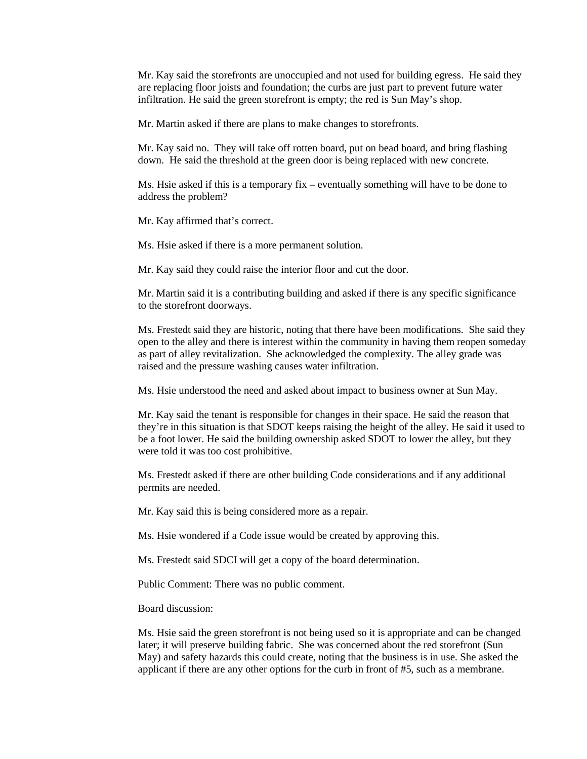Mr. Kay said the storefronts are unoccupied and not used for building egress. He said they are replacing floor joists and foundation; the curbs are just part to prevent future water infiltration. He said the green storefront is empty; the red is Sun May's shop.

Mr. Martin asked if there are plans to make changes to storefronts.

Mr. Kay said no. They will take off rotten board, put on bead board, and bring flashing down. He said the threshold at the green door is being replaced with new concrete.

Ms. Hsie asked if this is a temporary fix – eventually something will have to be done to address the problem?

Mr. Kay affirmed that's correct.

Ms. Hsie asked if there is a more permanent solution.

Mr. Kay said they could raise the interior floor and cut the door.

Mr. Martin said it is a contributing building and asked if there is any specific significance to the storefront doorways.

Ms. Frestedt said they are historic, noting that there have been modifications. She said they open to the alley and there is interest within the community in having them reopen someday as part of alley revitalization. She acknowledged the complexity. The alley grade was raised and the pressure washing causes water infiltration.

Ms. Hsie understood the need and asked about impact to business owner at Sun May.

Mr. Kay said the tenant is responsible for changes in their space. He said the reason that they're in this situation is that SDOT keeps raising the height of the alley. He said it used to be a foot lower. He said the building ownership asked SDOT to lower the alley, but they were told it was too cost prohibitive.

Ms. Frestedt asked if there are other building Code considerations and if any additional permits are needed.

Mr. Kay said this is being considered more as a repair.

Ms. Hsie wondered if a Code issue would be created by approving this.

Ms. Frestedt said SDCI will get a copy of the board determination.

Public Comment: There was no public comment.

Board discussion:

Ms. Hsie said the green storefront is not being used so it is appropriate and can be changed later; it will preserve building fabric. She was concerned about the red storefront (Sun May) and safety hazards this could create, noting that the business is in use. She asked the applicant if there are any other options for the curb in front of #5, such as a membrane.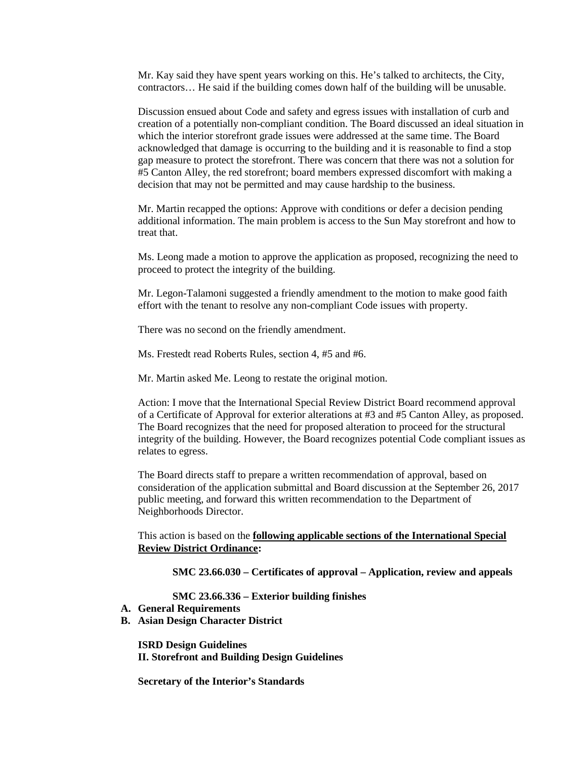Mr. Kay said they have spent years working on this. He's talked to architects, the City, contractors… He said if the building comes down half of the building will be unusable.

Discussion ensued about Code and safety and egress issues with installation of curb and creation of a potentially non-compliant condition. The Board discussed an ideal situation in which the interior storefront grade issues were addressed at the same time. The Board acknowledged that damage is occurring to the building and it is reasonable to find a stop gap measure to protect the storefront. There was concern that there was not a solution for #5 Canton Alley, the red storefront; board members expressed discomfort with making a decision that may not be permitted and may cause hardship to the business.

Mr. Martin recapped the options: Approve with conditions or defer a decision pending additional information. The main problem is access to the Sun May storefront and how to treat that.

Ms. Leong made a motion to approve the application as proposed, recognizing the need to proceed to protect the integrity of the building.

Mr. Legon-Talamoni suggested a friendly amendment to the motion to make good faith effort with the tenant to resolve any non-compliant Code issues with property.

There was no second on the friendly amendment.

Ms. Frestedt read Roberts Rules, section 4, #5 and #6.

Mr. Martin asked Me. Leong to restate the original motion.

Action: I move that the International Special Review District Board recommend approval of a Certificate of Approval for exterior alterations at #3 and #5 Canton Alley, as proposed. The Board recognizes that the need for proposed alteration to proceed for the structural integrity of the building. However, the Board recognizes potential Code compliant issues as relates to egress.

The Board directs staff to prepare a written recommendation of approval, based on consideration of the application submittal and Board discussion at the September 26, 2017 public meeting, and forward this written recommendation to the Department of Neighborhoods Director.

This action is based on the **following applicable sections of the International Special Review District Ordinance:** 

**SMC 23.66.030 – Certificates of approval – Application, review and appeals**

**SMC 23.66.336 – Exterior building finishes**

- **A. General Requirements**
- **B. Asian Design Character District**

**ISRD Design Guidelines II. Storefront and Building Design Guidelines**

**Secretary of the Interior's Standards**